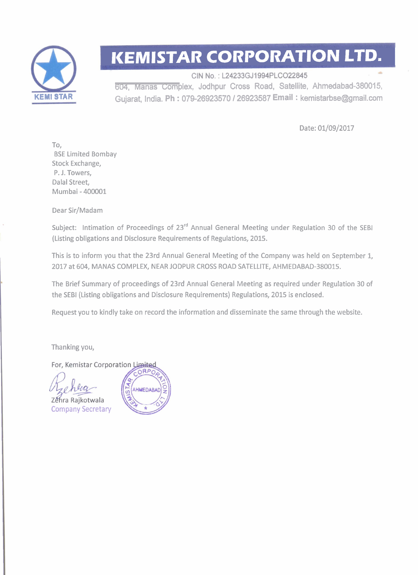

## **KEMISTAR CORPORATION LTD.**

CIN No.: L24233GJ1994PLCO22845 604, Manas Complex, Jodhpur Cross Road, Satellite, Ahmedabad-380015, Gujarat, India. **Ph** : 07426923570 **1** 26923587 **Email** : kemistarbse@gmail.com

Date: 01/09/2017

To. BSE Limited Bombay Stock Exchange, P. J. Towers, Dalal Street, Mumbai - 400001

Dear Sir/Madam

Subject: Intimation of Proceedings of 23<sup>rd</sup> Annual General Meeting under Regulation 30 of the SEBI (Listing obligations and Disclosure Requirements of Regulations, 2015.

This is to inform you that the 23rd Annual General Meeting of the Company was held on September 1, 2017 at 604, MANAS COMPLEX, NEAR JODPUR CROSS ROAD SATELLITE, AHMEDABAD-380015.

The Brief Summary of proceedings of 23rd Annual General Meeting as required under Regulation 30 of the SEBl (Listing obligations and Disclosure Requirements) Regulations, 2015 is enclosed.

Request you to kindly take on record the information and disseminate the same through the website.

Thanking you,

For, Kemistar Corporation Limited

Zéhra Rajkotwala Company Secretary

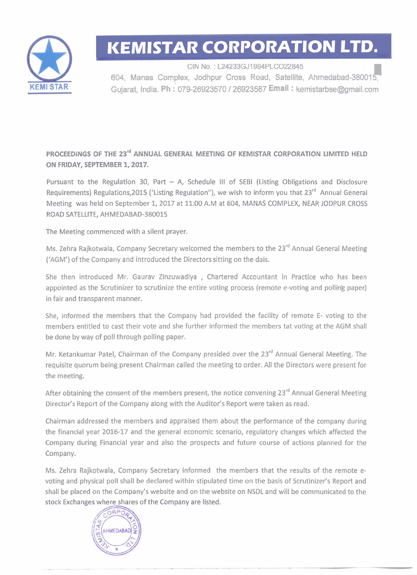

# **IKEMISTAR CORPORATION LTD.**

GIN No. : **L24233GJ1994PLC022845**  604, **Manas Complex, Jodhpur Cross Road, Satellite, Ahmedabad-380015,- Gujaat, India. Ph** :- **079-26923570 1 26923587 Email** : **kemistarbse@grnail.com** 

**PROCEEDINGS OF THE 23<sup>rd</sup> ANNUAL GENERAL MEETING OF KEMISTAR CORPORATION LIMITED HELD ON FRIDAY, SEPTEMBER 1,2017.** 

Pursuant to the Regulation 30, Part  $-$  A, Schedule III of SEBI (Listing Obligations and Disclosure Requirements) Regulations,2015 ('Listing Regulation"), we wish to inform you that 23<sup>rd</sup> Annual General Meeting was held on September 1,2017 at 11:OO A.M at 604, MANAS COMPLEX, NEAR JODPUR CROSS ROAD SATELLITE, AHMEDABAD-380015

The Meeting commenced with a silent prayer.

Ms. Zehra Rajkotwala, Company Secretary welcomed the members to the 23<sup>rd</sup> Annual General Meeting ('AGM') of the Company and introduced the Directors sitting on the dais.

She then introduced Mr. Gaurav Zinzuwadiya , Chartered Accountant in Practice who has been appointed as the Scrutinizer to scrutinize the entire voting process (remote e-voting and polling paper) in fair and transparent manner.

She, informed the members that the Company had provided the facility of remote E- voting to the members entitled to cast their vote and she further informed the members tat voting at the AGM shall be done by way of poll through polling paper.

Mr. Ketankumar Patel, Chairman of the Company presided over the 23<sup>rd</sup> Annual General Meeting. The requisite quorum being present Chairman called the meeting to order. All the Directors were present for the meeting.

After obtaining the consent of the members present, the notice convening  $23<sup>rd</sup>$  Annual General Meeting Director's Report of the Company along with the Auditor's Report were taken as read.

Chairman addressed the members and appraised them about the performance of the company during the financial year 2016-17 and the general economic scenario, regulatory changes which affected the Company during Financial year and also the prospects and future course of actions planned for the Company.

Ms. Zehra Rajkotwala, Company Secretary informed the members that the results of the remote evoting and physical poll shall be declared within stipulated time on the basis of Scrutinizer's Report and shall be placed on the Company's website and on the website on NSDL and will be communicated to the stock Exchanges where shares of the Company are listed.